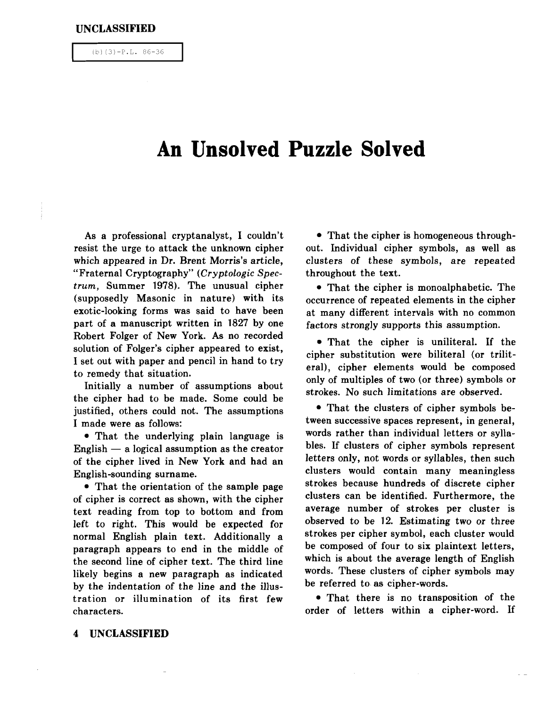$(b)$   $(3)-P.L. 86-36$ 

# **An Unsolved Puzzle Solved**

As a professional cryptanalyst, I couldn't resist the urge to attack the unknown cipher which appeared in Dr. Brent Morris's article, "Fraternal Cryptography" *(Cryptologic Spectrum,* Summer 1978). The unusual cipher (supposedly Masonic in nature) with its exotic-looking forms was said to have been part of a manuscript written in 1827 by one Robert Folger of New York. As no recorded solution of Folger's cipher appeared to exist, I set out with paper and pencil in hand to try to remedy that situation.

Initially a number of assumptions about the cipher had to be made. Some could be justified, others could not. The assumptions I made were as follows:

• That the underlying plain language is English  $-$  a logical assumption as the creator of the cipher lived in New York and had an English-sounding surname.

• That the orientation of the sample page of cipher is correct as shown, with the cipher text reading from top to bottom and from left to right. This would be expected for normal English plain text. Additionally a paragraph appears to end in the middle of the second line of cipher text. The third line likely begins a new paragraph as indicated by the indentation of the line and the illustration or illumination of its first few characters.

• That the cipher is homogeneous throughout. Individual cipher symbols, as well as clusters of these symbols, are repeated throughout the text.

• That the cipher is monoalphabetic. The occurrence of repeated elements in the cipher at many different intervals with no common factors strongly supports this assumption.

• That the cipher is uniliteral. If the cipher substitution were biliteral (or triliteral), cipher elements would be composed only of multiples of two (or three) symbols or strokes. No such limitations are observed.

• That the clusters of cipher symbols between successive spaces represent, in general, words rather than individual letters or syllables. If clusters of cipher symbols represent letters only, not words or syllables, then such clusters would contain many meaningless strokes because hundreds of discrete cipher clusters can be identified. Furthermore, the average number of strokes per cluster is observed to be 12. Estimating two or three strokes per cipher symbol, each cluster would be composed of four to six plaintext letters, which is about the average length of English words. These clusters of cipher symbols may be referred to as cipher-words.

• That there is no transposition of the order of letters within a cipher-word. If

## 4 UNCLASSIFIED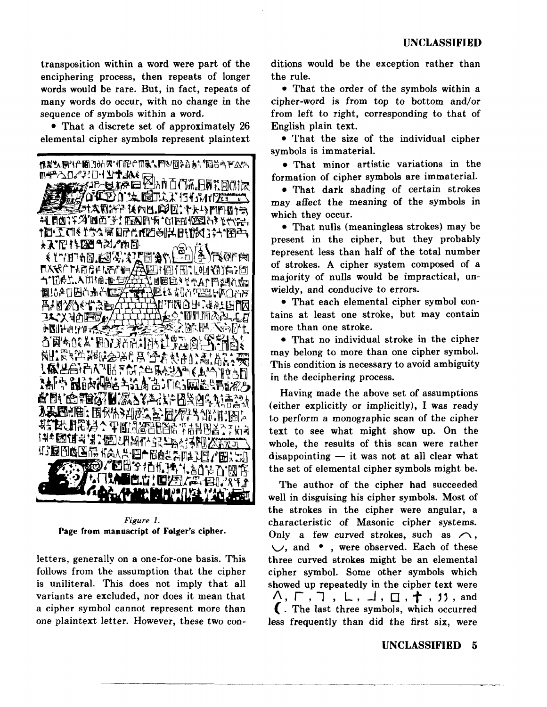transposition within a word were part of the enciphering process, then repeats of longer words would be rare. But, in fact, repeats of many words do occur, with no change in the sequence of symbols within a word.

• That a discrete set of approximately 26 elemental cipher symbols represent plaintext



*Figure 1.*  Page from manuscript of Folger's cipher.

letters, generally on a one-for-one basis. This follows from the assumption that the cipher is uniliteral. This does not imply that all variants are excluded, nor does it mean that a cipher symbol cannot represent more than one plaintext letter. However, these two conditions would be the exception rather than the rule.

• That the order of the symbols within a cipher-word is from top to bottom and/or from left to right, corresponding to that of English plain text.

• That the size of the individual cipher symbols is immaterial.

• That minor artistic variations in the formation of cipher symbols are immaterial.

• That dark shading of certain strokes may affect the meaning of the symbols in which they occur.

• That nulls (meaningless strokes) may be present in the cipher, but they probably represent less than half of the total number of strokes. A cipher system composed of a majority of nulls would be impractical, unwieldy, and conducive to errors.

• That each elemental cipher symbol contains at least one stroke, but may contain more than one stroke.

• That no individual stroke in the cipher may belong to more than one cipher symbol. This condition is necessary to avoid ambiguity in the deciphering process.

Having made the above set of assumptions (either explicitly or implicitly), I was ready to perform a monographic scan of the cipher text to see what might show up. On the whole, the results of this scan were rather disappointing  $-$  it was not at all clear what the set of elemental cipher symbols might be.

The author of the cipher had succeeded well in disguising his cipher symbols. Most of the strokes in the cipher were angular, a characteristic of Masonic cipher systems. Only a few curved strokes, such as  $\bigcap$ ,  $\cup$ , and  $\bullet$  , were observed. Each of these three curved strokes might be an elemental cipher symbol. Some other symbols which showed up repeatedly in the cipher text were  $\wedge$ ,  $\sqcap$  ,  $\sqcup$ ,  $\sqcup$ ,  $\sqcup$ ,  $\sqcap$ ,  $\dagger$ , 11, and ( . The last three symbols, which occurred less frequently than did the first six, were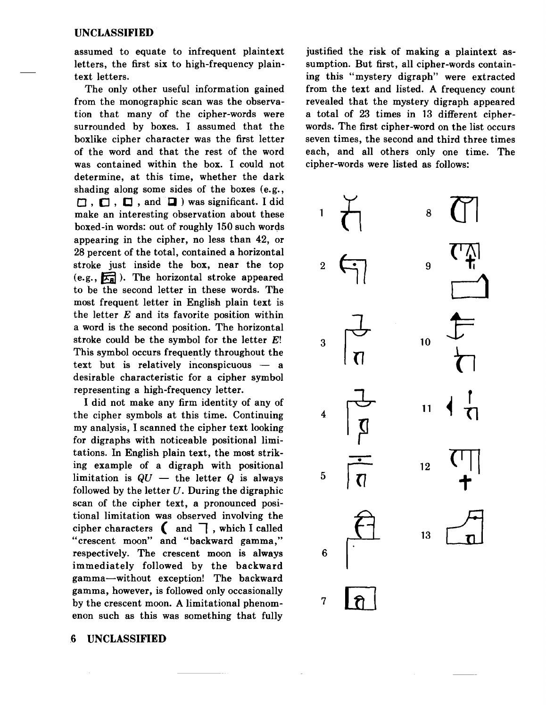assumed to equate to infrequent plaintext letters, the first six to high-frequency plaintext letters.

The only other useful information gained from the monographic scan was the observation that many of the cipher-words were surrounded by boxes. I assumed that the boxlike cipher character was the first letter of the word and that the rest of the word was contained within the box. I could not determine, at this time, whether the dark shading along some sides of the boxes (e.g.,  $\square$ ,  $\square$ ,  $\square$ , and  $\square$ ) was significant. I did make an interesting observation about these boxed-in words: out of roughly 150 such words appearing in the cipher, no less than 42, or 28 percent of the total, contained a horizontal stroke just inside the box, near the top  $(e.g.,~\sqrt{f_n})$ . The horizontal stroke appeared to be the second letter in these words. The most frequent letter in English plain text is the letter  $E$  and its favorite position within a word is the second position. The horizontal stroke could be the symbol for the letter  $E!$ This symbol occurs frequently throughout the text but is relatively inconspicuous  $-$  a desirable characteristic for a cipher symbol representing a high-frequency letter.

I did not make any firm identity of any of the cipher symbols at this time. Continuing my analysis, I scanned the cipher text looking for digraphs with noticeable positional limitations. In English plain text, the most striking example of a digraph with positional limitation is  $QU$  — the letter  $Q$  is always followed by the letter  $U$ . During the digraphic scan of the cipher text, a pronounced positional limitation was observed involving the cipher characters  $\bigcap$  and  $\bigcap$ , which I called "crescent moon" and "backward gamma," respectively. The crescent moon is always immediately followed by the backward gamma-without exception! The backward gamma, however, is followed only occasionally by the crescent moon. A limitational phenomenon such as this was something that fully

## **6 UNCLASSIFIED**

justified the risk of making a plaintext assumption. But first, all cipher-words containing this "mystery digraph" were extracted from the text and listed. A frequency count revealed that the mystery digraph appeared a total of 23 times in 13 different cipherwords. The first cipher-word on the list occurs seven times, the second and third three times each, and all others only one time. The cipher-words were listed as follows:

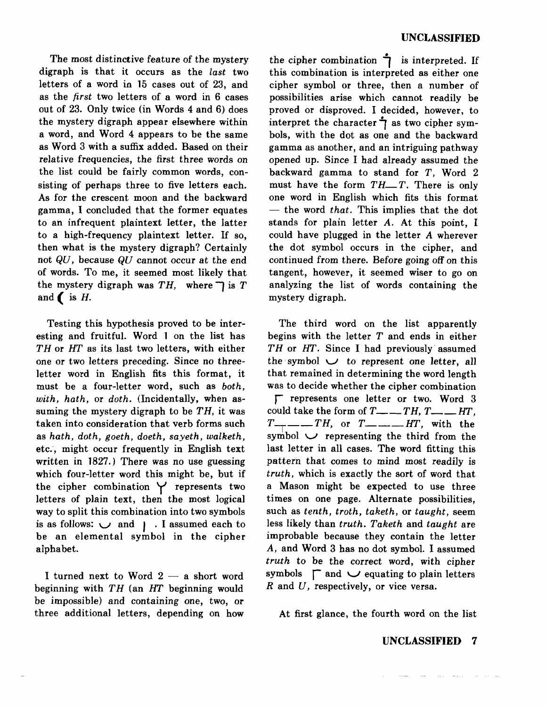The most distinctive feature of the mystery digraph is that it occurs as the *last* two letters of a word in 15 cases out of 23, and as the *first* two letters of a word in 6 cases out of 23. Only twice (in Words 4 and 6) does the mystery digraph appear elsewhere within a word, and Word 4 appears to be the same as Word 3 with a suffix added. Based on their relative frequencies, the first three words on the list could be fairly common words, consisting of perhaps three to five letters each. As for the crescent moon and the backward gamma, I concluded that the former equates to an infrequent plaintext letter, the latter to a high-frequency plaintext letter. If so, then what is the mystery digraph? Certainly not *QU,* because *QU* cannot occur at the end of words. To me, it seemed most likely that the mystery digraph was  $TH$ , where  $\bigcap$  is  $T$ and  $\bigcap$  is H.

Testing this hypothesis proved to be interesting and fruitful. Word **1** on the list has *TH* or *HT* as its last two letters, with either one or two letters preceding. Since no threeletter word in English fits this format, it must be a four-letter word, such as *both, with, hath,* or *doth.* (Incidentally, when assuming the mystery digraph to be *TH,* it was taken into consideration that verb forms such as *hath, doth, goeth, doeth, sayeth, walketh,*  etc., might occur frequently in English text written in 1827.) There was no use guessing which four-letter word this might be, but if the cipher combination **y** represents two letters of plain text, then the most logical way to split this combination into two symbols is as follows:  $\cup$  and  $\}$ . I assumed each to be an elemental symbol in the cipher alphabet.

I turned next to Word  $2 - a$  short word beginning with *TH* (an *HT* beginning would be impossible) and containing one, two, or three additional letters, depending on how

the cipher combination  $\uparrow$  is interpreted. If this combination is interpreted as either one cipher symbol or three, then a number of possibilities arise which cannot readily be proved or disproved. I decided, however, to interpret the character  $\dot{\mathbf{\tau}}$  as two cipher symbols, with the dot as one and the backward gamma as another, and an intriguing pathway opened up. Since I had already assumed the backward gamma to stand for T, Word 2 must have the form  $TH_T$ . There is only one word in English which fits this format - the word *that.* This implies that the dot stands for plain letter A. At this point, I could have plugged in the letter *A* wherever the dot symbol occurs in the cipher, and continued from there. Before going off on this tangent, however, it seemed wiser to go on analyzing the list of words containing the mystery digraph.

The third word on the list apparently begins with the letter *T* and ends in either *TH* or *HT.* Since I had previously· assumed the symbol  $\cup$  to represent one letter, all that remained in determining the word length was to decide whether the cipher combination **represents one letter or two. Word 3** could take the form of  $T_{---}TH$ ,  $T_{---}HT$ ,  $T_{-+}$  - TH, or  $T_{-}$  - HT, with the symbol  $\vee$  representing the third from the last letter in all cases. The word fitting this pattern that comes to mind most readily is *truth,* which is exactly the sort of word that a Mason might be expected to use three times on one page. Alternate possibilities, such as *tenth, troth, taketh,* or *taught,* seem less likely than *truth. Taketh* and *taught* are improbable because they contain the letter A, and Word 3 has no dot symbol. I assumed *truth* to be the correct word, with cipher symbols  $\Gamma$  and  $\cup$  equating to plain letters *R* and *U,* respectively, or vice versa.

At first glance, the fourth word on the list

## **UNCLASSIFIED 7**

**College College**  $\sim 100$  للمرابط الطاري والمتناور وللمرار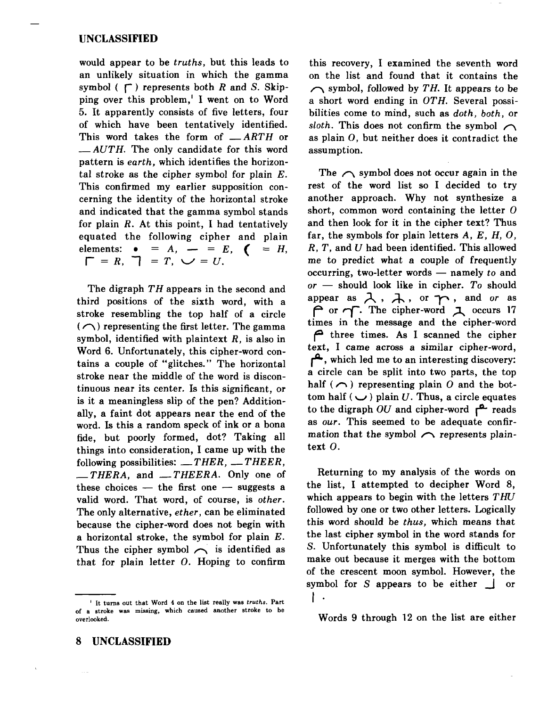would appear to be *truths,* but this leads to an unlikely situation in which the gamma symbol  $(\Gamma)$  represents both *R* and *S*. Skipping over this problem,<sup>1</sup> I went on to Word 5. It apparently consists of five letters, four of which have been tentatively identified. This word takes the form of  $= ARTH$  or  $\mu = AUTH$ . The only candidate for this word pattern is *earth,* which identifies the horizontal stroke as the cipher symbol for plain  $E$ . This confirmed my earlier supposition concerning the identity of the horizontal stroke and indicated that the gamma symbol stands for plain *R.* At this point, I had tentatively equated the following cipher and plain elements:  $\bullet = A$ ,  $\rightarrow = E$ ,  $\bullet = H$ ,  $\Gamma = R$ ,  $\Gamma = T$ ,  $\Gamma = U$ .

The digraph TH appears in the second and third positions of the sixth word, with a stroke resembling the top half of a circle  $(\cap)$  representing the first letter. The gamma symbol, identified with plaintext  $R$ , is also in Word 6. Unfortunately, this cipher-word contains a couple of "glitches." The horizontal stroke near the middle of the word is discontinuous near its center. Is this significant, or is it a meaningless slip of the pen? Additionally, a faint dot appears near the end of the word. Is this a random speck of ink or a bona fide, but poorly formed, dot? Taking all things into consideration, I came up with the following possibilities:  $\_\_THER$ ,  $\_\_THEER$ ,  $THERA$ , and  $THERA$ . Only one of these choices  $-$  the first one  $-$  suggests a valid word. That word, of course, is *other.*  The only alternative, *ether,* can be eliminated because the cipher-word does not begin with a horizontal stroke, the symbol for plain  $E$ . Thus the cipher symbol  $\bigcap$  is identified as that for plain letter  $O$ . Hoping to confirm

this recovery, I examined the seventh word on the list and found that it contains the  $\frown$  symbol, followed by TH. It appears to be a short word ending in OTH. Several possibilities come to mind, such as *doth, both,* or *sloth.* This does not confirm the symbol  $\sim$ as plain 0, but neither does it contradict the assumption.

The  $\cap$  symbol does not occur again in the rest of the word list so I decided to try another approach. Why not synthesize a short, common word containing the letter *0*  and then look for it in the cipher text? Thus far, the symbols for plain letters  $A, E, H, O$ . *R, T,* and *U* had been identified. This allowed me to predict what a couple of frequently occurring, two-letter words - namely *to* and *or* - should look like in cipher. *To* should appear as  $\lambda$ ,  $\lambda$ , or  $\gamma$ , and *or* as or  $\tau$ . The cipher-word  $\tau$  occurs 17 times in the message and the cipher-word **f** three times. As I scanned the cipher text, I came across a similar cipher-word,  $\mathbf{r}^{\mathbf{a}}$ , which led me to an interesting discovery: a circle can be split into two parts, the top half  $(\cap)$  representing plain O and the bottom half ( $\cup$ ) plain U. Thus, a circle equates to the digraph  $OU$  and cipher-word  $r^2$  reads as *our.* This seemed to be adequate confirmation that the symbol  $\curvearrowright$  represents plaintext  $\boldsymbol{0}$ .

Returning to my analysis of the words on the list, I attempted to decipher Word 8, which appears to begin with the letters  $THU$ followed by one or two other letters. Logically this word should be *thus,* which means that the last cipher symbol in the word stands for *S.* Unfortunately this symbol is difficult to make out because it merges with the bottom of the crescent moon symbol. However, the symbol for S appears to be either **\_j** or I .

Words 9 through 12 on the list are either

<sup>&#</sup>x27; It turns out that Word 4 on the list really was *truths.* Part of a stroke was missing, which caused another stroke to be overlooked.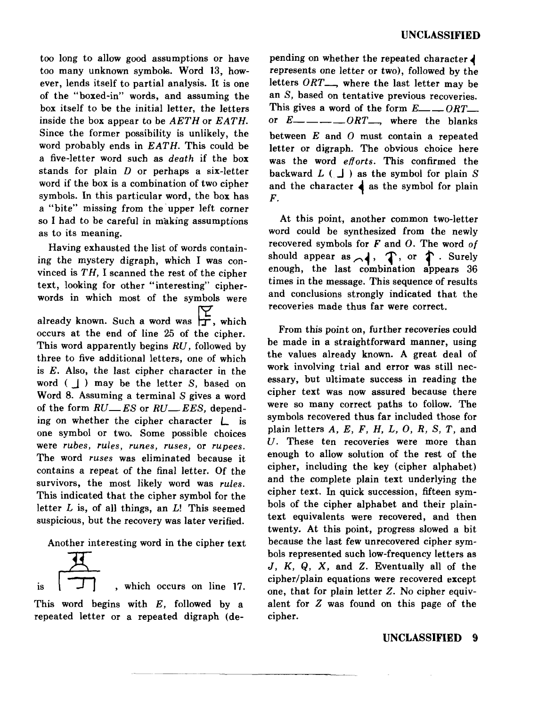too long to allow good assumptions or have too many unknown symbols. Word 13, however, lends itself to partial analysis. It is one of the "boxed-in" words, and assuming the box itself to be the initial letter, the letters inside the box appear to be AETH or EATH. Since the former possibility is unlikely, the word probably ends in  $EATH$ . This could be a five-letter word such as *death* if the box stands for plain  $D$  or perhaps a six-letter word if the box is a combination of two cipher symbols. In this particular word, the box has a "bite" missing from the upper left corner so I had to be careful in making assumptions as to its meaning.

Having exhausted the list of words containing the mystery digraph, which I was convinced is TH, I scanned the rest of the cipher text, looking for other "interesting" cipherwords in which most of the symbols were already known. Such a word was  $\sum_{n=1}^{\infty}$ , which occurs at the end of line 25 of the cipher. This word apparently begins *RU,* followed by three to five additional letters, one of which is E. Also, the last cipher character in the word  $($   $\Box$ ) may be the letter S, based on Word 8. Assuming a terminal S gives a word of the form  $RU\_ES$  or  $RU\_EES$ , depending on whether the cipher character  $\perp$  is one symbol or two. Some possible choices were *rubes, rules, runes, ruses,* or *rupees.*  The word *ruses* was eliminated because it contains a repeat of the final letter. Of the survivors, the most likely word was *rules.*  This indicated that the cipher symbol for the letter  $L$  is, of all things, an  $L!$  This seemed suspicious, but the recovery was later verified.

Another interesting word in the cipher text





This word begins with  $E$ , followed by a repeated letter or a repeated digraph (de-

pending on whether the repeated character  $\triangleleft$ represents one letter or two), followed by the letters *ORT\_\_,* where the last letter may be an S, based on tentative previous recoveries. This gives a word of the form  $E_{\text{max}} = 0.07$ or  $E_{\text{---}}$   $\frac{1}{2}$   $\frac{1}{2}$   $\frac{1}{2}$   $\frac{1}{2}$   $\frac{1}{2}$  where the blanks between  $E$  and  $O$  must contain a repeated letter or digraph. The obvious choice here was the word *efforts.* This confirmed the backward  $L(\perp)$  as the symbol for plain *S* and the character  $\triangleleft$  as the symbol for plain *F.* 

At this point, another common two-letter word could be synthesized from the newly recovered symbols for F and 0. The word *of*  should appear as  $\{ \}$ ,  $\mathcal{T}$ , or  $\mathcal{T}$ . Surely enough, the last combination appears 36 times in the message. This sequence of results and conclusions strongly indicated that the recoveries made thus far were correct.

From this point on, further recoveries could be made in a straightforward manner, using the values already known. A great deal of work involving trial and error was still necessary, but ultimate success in reading the cipher text was now assured because there were so many correct paths to follow. The symbols recovered thus far included those for plain letters  $A, E, F, H, L, O, R, S, T$ , and U. These ten recoveries were more than enough to allow solution of the rest of the cipher, including the key (cipher alphabet) and the complete plain text underlying the cipher text. In quick succession, fifteen symbols of the cipher alphabet and their plaintext equivalents were recovered, and then twenty. At this point, progress slowed a bit because the last few unrecovered cipher symbols represented such low-frequency letters as J, K, Q, X, and Z. Eventually all of the cipher/plain equations were recovered except one, that for plain letter Z. No cipher equivalent for *Z* was found on this page of the cipher.

## UNCLASSIFIED 9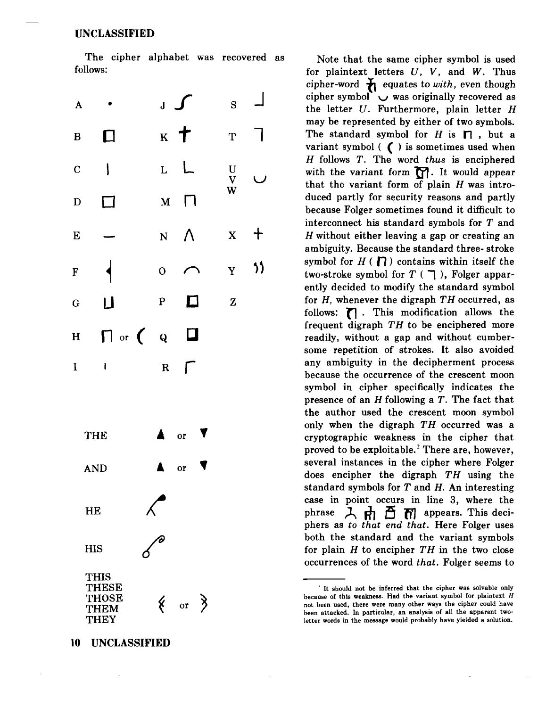## UNCLASSIFIED

The cipher alphabet was recovered as follows:

| $\mathbf{A}$                                                              |                                     |                                                                        | J J                    |                         | S                                                                     |                |
|---------------------------------------------------------------------------|-------------------------------------|------------------------------------------------------------------------|------------------------|-------------------------|-----------------------------------------------------------------------|----------------|
| $\bf{B}$                                                                  | $\Box$                              |                                                                        | $K$ $\uparrow$         |                         | T                                                                     | - 1            |
| $\mathbf C$                                                               | $\overline{\phantom{a}}$            | $\mathbf{L}$                                                           | L                      |                         | $\begin{array}{c} \mathbf{U} \\ \mathbf{V} \\ \mathbf{W} \end{array}$ |                |
| $\mathbf D$                                                               |                                     |                                                                        | M <sub>N</sub>         |                         |                                                                       |                |
| $\bf{E}$                                                                  |                                     |                                                                        | $N \Lambda$            |                         | $\mathbf{X}$                                                          | $\bm{\dagger}$ |
| F                                                                         |                                     | $\mathbf{O}$                                                           |                        |                         | Y                                                                     | $\gamma$       |
| $\mathbf{G}^{\top}$                                                       | 口                                   | $\mathbf P$                                                            | $\Box$                 |                         | $\mathbf{Z}$                                                          |                |
|                                                                           | $H \cap \text{or} \left( Q \right)$ |                                                                        | $\Box$                 |                         |                                                                       |                |
| $\mathbf I$                                                               | $\overline{\phantom{0}}$            |                                                                        | $R \Gamma$             |                         |                                                                       |                |
|                                                                           |                                     |                                                                        |                        |                         |                                                                       |                |
|                                                                           | THE                                 |                                                                        | or                     |                         |                                                                       |                |
| <b>AND</b>                                                                |                                     |                                                                        | $\overline{\text{or}}$ |                         |                                                                       |                |
| HE                                                                        |                                     | $\begin{array}{c} \mathcal{M} \ \mathcal{M} \ \mathcal{M} \end{array}$ |                        |                         |                                                                       |                |
|                                                                           | <b>HIS</b>                          |                                                                        |                        |                         |                                                                       |                |
| <b>THIS</b><br><b>THESE</b><br><b>THOSE</b><br><b>THEM</b><br><b>THEY</b> |                                     | 《                                                                      | $\mathbf{or}$          | $\overline{\mathbf{z}}$ |                                                                       |                |

10 UNCLASSIFIED

 $\sim$ 

Note that the same cipher symbol is used for plaintext letters *U, V,* and *W.* Thus cipher-word **fl** equates to *with,* even though cipher symbol  $\sim$  was originally recovered as the letter  $U$ . Furthermore, plain letter  $H$ may be represented by either of two symbols. The standard symbol for  $H$  is  $\bigcap$ , but a variant symbol ( $\big($ ) is sometimes used when *H* follows *T.* The word *thus* is enciphered with the variant form **1**. It would appear that the variant form of plain *H* was introduced partly for security reasons and partly because Folger sometimes found it difficult to interconnect his standard symbols for *T* and H without either leaving a gap or creating an ambiguity. Because the standard three- stroke symbol for  $H(\mathbf{\Pi})$  contains within itself the two-stroke symbol for  $T(\top)$ , Folger apparently decided to modify the standard symbol for  $H$ , whenever the digraph  $TH$  occurred, as follows: **fl** . This modification allows the frequent digraph TH to be enciphered more readily, without a gap and without cumbersome repetition of strokes. It also avoided any ambiguity in the decipherment process because the occurrence of the crescent moon symbol in cipher specifically indicates the presence of an H following a T. The fact that the author used the crescent moon symbol only when the digraph TH occurred was a cryptographic weakness in the cipher that proved to be exploitable.<sup>2</sup> There are, however, several instances in the cipher where Folger does encipher the digraph  $TH$  using the standard symbols for  $T$  and  $H$ . An interesting case in point occurs in line 3, where the phrase  $\lambda$   $\mathbf{r}$   $\mathbf{r}$   $\mathbf{r}$   $\mathbf{r}$  appears. This deciphers as *to that end that.* Here Folger uses both the standard and the variant symbols for plain  $H$  to encipher  $TH$  in the two close occurrences of the word *that.* Folger seems to

<sup>&</sup>lt;sup>2</sup> It should not be inferred that the cipher was solvable only because of this weakness. Had the variant symbol for plaintext H not been used, there were many other ways the cipher could have been attacked. In particular, an analysis of all the apparent twoletter words in the message would probably have yielded a solution.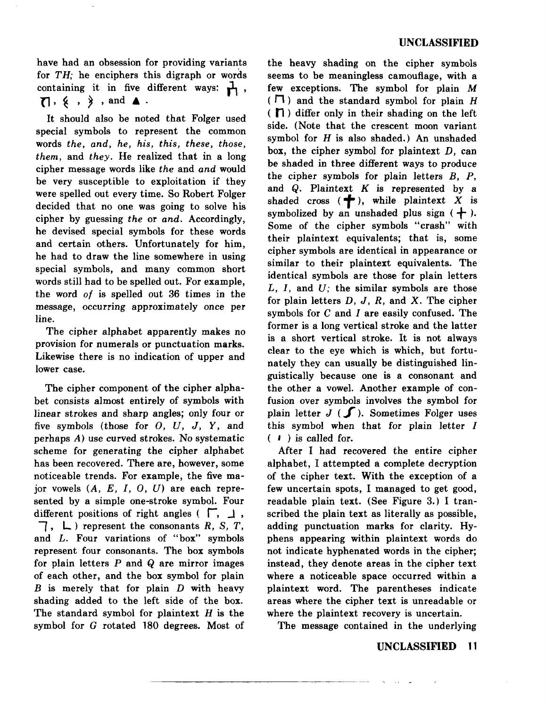have had an obsession for providing variants for TH; he enciphers this digraph or words containing it in five different ways:  $\mathbf{r}$ ,  $\mathbb{7}, \{ \}$ ,  $\}$ , and  $\blacktriangle$ .

It should also be noted that Folger used special symbols to represent the common words *the, and, he, his, this, these, those, them,* and *they.* He realized that in a long cipher message words like *the* and *and* would be very susceptible to exploitation if they were spelled out every time. So Robert Folger decided that no one was going to solve his cipher by guessing *the* or *and.* Accordingly, he devised special symbols for these words and certain others. Unfortunately for him, he had to draw the line somewhere in using special symbols, and many common short words still had to be spelled out. For example, the word of is spelled out 36 times in the message, occurring approximately once per line.

The cipher alphabet apparently makes no provision for numerals or punctuation marks. Likewise there is no indication of upper and lower case.

The cipher component of the cipher alphabet consists almost entirely of symbols with linear strokes and sharp angles; only four or five symbols (those for  $O, U, J, Y$ , and perhaps A) use curved strokes. No systematic scheme for generating the cipher alphabet has been recovered. There are, however, some noticeable trends. For example, the five major vowels  $(A, E, I, 0, U)$  are each represented by a simple one-stroke symbol. Four different positions of right angles  $(\Gamma, \perp, \perp)$  $\Box$ ,  $\Box$ ) represent the consonants *R*, *S*, *T*, and L. Four variations of "box" symbols represent four consonants. The box symbols for plain letters *P* and *Q* are mirror images of each other, and the box symbol for plain  $B$  is merely that for plain  $D$  with heavy shading added to the left side of the box. The standard symbol for plaintext *H* is the symbol for *G* rotated 180 degrees. Most of

the heavy shading on the cipher symbols seems to be meaningless camouflage, with a few exceptions. The symbol for plain  $M$ ( $\Box$ ) and the standard symbol for plain H( $\Box$ ) differ only in their shading on the left side. (Note that the crescent moon variant symbol for *H* is also shaded.) An unshaded box, the cipher symbol for plaintext  $D$ , can be shaded in three different ways to produce the cipher symbols for plain letters  $B$ ,  $P$ , and Q. Plaintext *K* is represented by a shaded cross  $(\biguparrow \hspace*{-1mm} \biguparrow)$ , while plaintext X is symbolized by an unshaded plus sign  $( + ).$ Some of the cipher symbols "crash" with their plaintext equivalents; that is, some cipher symbols are identical in appearance or similar to their plaintext equivalents. The identical symbols are those for plain letters *L, I,* and *U;* the similar symbols are those for plain letters  $D, J, R$ , and  $X$ . The cipher symbols for *C* and *I* are easily confused. The former is a long vertical stroke and the latter is a short vertical stroke. It is not always clear to the eye which is which, but fortunately they can usually be distinguished linguistically because one is a consonant and the other a vowel. Another example of confusion over symbols involves the symbol for plain letter  $J$  ( $\int$ ). Sometimes Folger uses this symbol when that for plain letter I  $(1)$  is called for.

After I had recovered the entire cipher alphabet, I attempted a complete decryption of the cipher text. With the exception of a few uncertain spots, I managed to get good, readable plain text. (See Figure 3.) I transcribed the plain text as literally as possible, adding punctuation marks for clarity. Hyphens appearing within plaintext words do not indicate hyphenated words in the cipher; instead, they denote areas in the cipher text where a noticeable space occurred within a plaintext word. The parentheses indicate areas where the cipher text is unreadable or where the plaintext recovery is uncertain.

The message contained in the underlying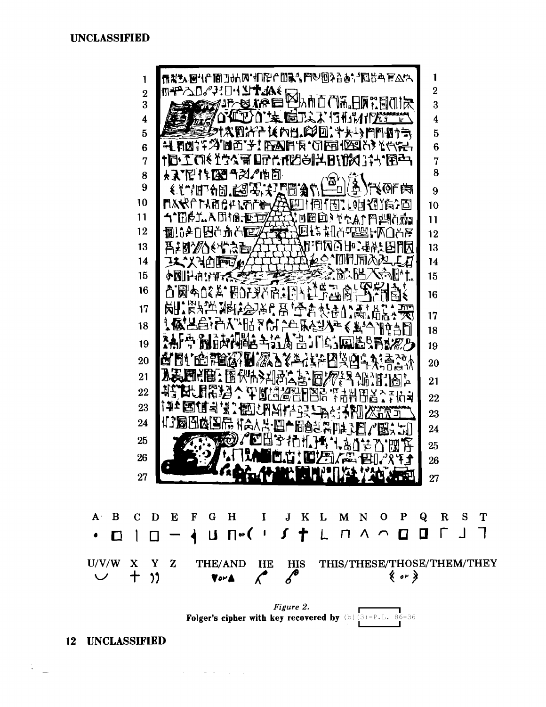

Folger's cipher with key recovered by  $(b)$  (b)  $(3)-P.L.$  86-36

**12** UNCLASSIFIED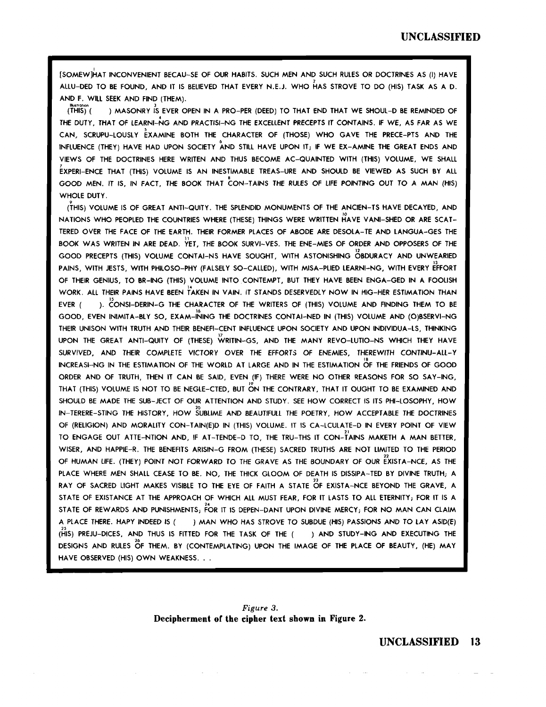I [SOMEW)HA *T* INCONVENIENT BECAU-SE OF OUR HABITS. SUCH MEN AND SUCH RULES OR DOCTRINES AS (I) HAVE 2 ALLU-DED TO BE FOUND, AND IT IS BELIEVED THAT EVERY N.E.J. WHO HAS STROVE TO DO (HIS) TASK AS A D. AND F. WILL SEEK AND FIND (THEM).

llustration<br>(THIS) ( ) MASONRY IS EVER OPEN IN A PRO-PER (DEED) TO THAT END THAT WE SHOUL-D BE REMINDED OF THE DUTY, THAT OF LEARNI-NG AND PRACTISI-NG THE EXCELLENT PRECEPTS IT CONTAINS. IF WE, AS FAR AS WE , CAN, SCRUPU-LOUSLY EXAMINE BOTH THE CHARACTER OF (THOSE) WHO GAVE THE PRECE-PTS AND THE INFLUENCE (THEY) HAVE HAD UPON SOCIETY AND STILL HAVE UPON IT; IF WE EX-AMINE THE GREAT ENDS AND VIEWS OF THE DOCTRINES HERE WRITEN AND THUS BECOME AC-QUAINTED WITH (THIS) VOLUME, WE SHALL **EXPERI-ENCE THAT (THIS) VOLUME IS AN INESTIMABLE TREAS-URE AND SHOULD BE VIEWED AS SUCH BY ALL**<br>B GOOD MEN. IT IS, IN FACT, THE BOOK THAT CON-TAINS THE RULES OF LIFE POINTING OUT TO A MAN (HIS) WHOLE DUTY.

THIS) VOLUME IS OF GREAT ANTI-QUITY. THE SPLENDID MONUMENTS OF THE ANCIEN-TS HAVE DECAYED, AND NATIONS WHO PEOPLED THE COUNTRIES WHERE (THESE) THINGS WERE WRITTEN HAVE VANl-SHED OR ARE SCAT-TERED OVER THE FACE OF THE EARTH. THEIR FORMER PLACES OF ABODE ARE DESOLA-TE AND LANGUA-GES THE BOOK WAS WRITEN IN ARE DEAD. YET, THE BOOK SURVl-VES. THE ENE-MIES OF ORDER AND OPPOSERS OF THE GOOD PRECEPTS (THIS) VOLUME CONTAI-NS HAVE SOUGHT, WITH ASTONISHING OBDURACY AND UNWEARIED 13 PAINS, WITH JESTS, WITH PHILOSO-PHY (FALSELY SO-CALLED), WITH MISA-PLIED LEARNl-NG, WITH EVERY EFFORT OF THEIR GENIUS, TO BR-ING (THIS) VOLUME INTO CONTEMPT, BUT THEY HAVE BEEN ENGA-GED IN A FOOLISH WORK. ALL THEIR PAINS HAVE BEEN TAKEN IN VAIN. IT STANDS DESERVEDLY NOW IN HIG-HER ESTIMATION THAN EVER ( ). CONSI-DERIN-G THE CHARACTER OF THE WRITERS OF (THIS) VOLUME AND FINDING THEM TO BE GOOD, EVEN INIMITA-BLY SO, EXAM-INING THE DOCTRINES CONTAI-NED IN (THIS) VOLUME AND (O)BSERVI-NG THEIR UNISON WITH TRUTH AND THEIR BENEFl-CENT INFLUENCE UPON SOCIETY AND UPON INDIVIDUA-LS, THINKING 17 UPON THE GREAT ANTl-QUITY OF (THESE) WRITIN-GS, AND THE MANY REVO-LUTIO-NS WHICH THEY HAVE SURVIVED, AND THEIR COMPLETE VICTORY OVER THE EFFORTS OF ENEMIES, THEREWITH CONTINU-All-Y INCREASI-NG IN THE ESTIMATION OF THE WORLD AT LARGE AND IN THE ESTIMATION OF THE FRIENDS OF GOOD ORDER AND OF TRUTH, THEN IT CAN BE SAID, EVEN (IF) THERE WERE NO OTHER REASONS FOR SO SAY-ING, 19 THAT (THIS) VOLUME IS NOT TO BE NEGLE-CTED, BUT ON THE CONTRARY, THAT IT OUGHT TO BE EXAMINED AND SHOULD BE MADE THE SUB-JECT OF OUR ATTENTION AND STUDY. SEE HOW CORRECT IS ITS PHl-LOSOPHY, HOW 20 IN-TERERE-STING THE HISTORY, HOW SUBLIME AND BEAUTIFUtl THE POETRY, HOW ACCEPTABLE THE DOCTRINES OF (RELIGION) AND MORALITY CON-T AIN(E)D IN (THIS) VOLUME. IT IS CA-LCULA TE-D IN EVERY POINT OF VIEW TO ENGAGE OUT ATTE-NTION AND, IF AT-TENDE-D TO, THE TRU-THS IT CON-TAINS MAKETH A MAN BETTER, WISER, AND HAPPIE-R. THE BENEFITS ARISIN-G FROM (THESE) SACRED TRUTHS ARE NOT LIMITED TO THE PERIOD OF HUMAN LIFE. (THEY) POINT NOT FORWARD TO THE GRAVE AS THE BOUNDARY OF OUR EXISTA-NCE, AS THE PLACE WHERE MEN SHALL CEASE TO BE. NO, THE THICK GLOOM OF DEATH IS DISSIPA-TED BY DIVINE TRUTH; A  $23$  RAY OF SACRED LIGHT MAKES VISIBLE TO THE EYE OF FAITH A STATE  $\stackrel{23}{\text{OF}}$  exista-nce beyond the grave, a STATE OF EXISTANCE AT THE APPROACH OF WHICH ALL MUST FEAR, FOR IT LASTS TO ALL ETERNITY; FOR IT IS A STATE OF REWARDS AND PUNISHMENTS; FOR IT IS DEPEN-DANT UPON DIVINE MERCY; FOR NO MAN CAN CLAIM A PLACE THERE. HAPY INDEED IS ( ) MAN WHO HAS STROVE TO SUBDUE (HIS) PASSIONS AND TO LAY ASID(E) (HIS) PREJU-DICES, AND THUS IS FITTED FOR THE TASK OF THE ( ) AND STUDY-ING AND EXECUTING THE 26 DESIGNS AND RULES OF THEM. BY (CONTEMPLATING) UPON THE IMAGE OF THE PLACE OF BEAUTY, (HE) MAY HAVE OBSERVED (HIS) OWN WEAKNESS. . .

*Figure 3.*  Decipherment of the cipher text shown in Figure 2.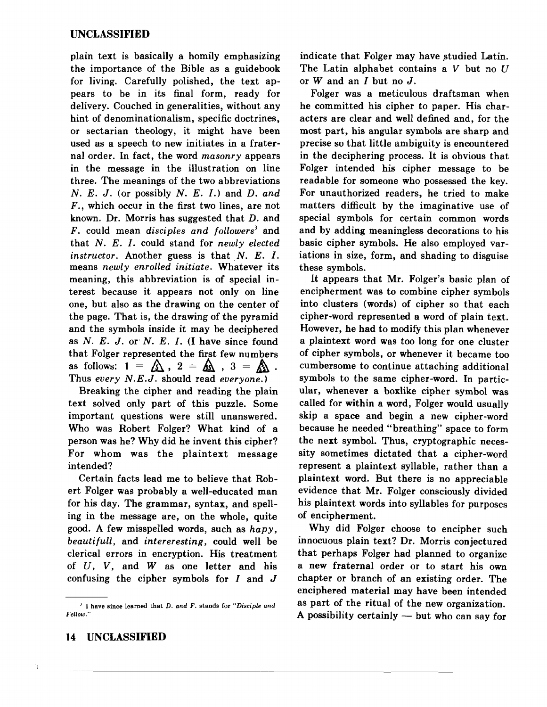plain text is basically a homily emphasizing the importance of the Bible as a guidebook for living. Carefully polished, the text appears to be in its final form, ready for delivery. Couched in generalities, without any hint of denominationalism, specific doctrines, or sectarian theology, it might have been used as a speech to new initiates in a fraternal order. In fact, the word *masonry* appears in the message in the illustration on line three. The meanings of the two abbreviations *N. E.* J. (or possibly *N. E.* /.) and *D. and*  F., which occur in the first two lines, are not known. Dr. Morris has suggested that D. and *F.* could mean *disciples and followers <sup>3</sup>*and that *N. E.* /. could stand for *newly elected instructor.* Another guess is that *N. E. I.*  means *newly enrolled initiate.* Whatever its meaning, this abbreviation is of special interest because it appears not only on line one, but also as the drawing on the center of the page. That is, the drawing of the pyramid and the symbols inside it may be deciphered as *N. E.* J. or· *N. E. I.* (l have since found that Folger represented the first few numbers as follows:  $1 = \mathbf{\hat{\triangle}}$ ,  $2 = \mathbf{\hat{\triangle}}$ ,  $3 = \mathbf{\hat{\triangle}}$ . Thus *every N.E.J.* should read *everyone.)* 

Breaking the cipher and reading the plain text solved only part of this puzzle. Some important questions were still unanswered. Who was Robert Folger? What kind of a person was he? Why did he invent this cipher? For whom was the plaintext message intended?

Certain facts lead me to believe that Robert Folger was probably a well-educated man for his day. The grammar, syntax, and spelling in the message are, on the whole, quite good. A few misspelled words, such as *hapy, beautifull,* and *intereresting,* could well be clerical errors in encryption. His treatment of *U, V,* and *W* as one letter and his confusing the cipher symbols for  $I$  and  $J$ 

indicate that Folger may have studied Latin. The Latin alphabet contains a *V* but no *U*  or *W* and an *I* but no J.

Folger was a meticulous draftsman when he committed his cipher to paper. His characters are clear and well defined and, for the most part, his angular symbols are sharp and precise so that little ambiguity is encountered in the deciphering process. It is obvious that Folger intended his cipher message to be readable for someone who possessed the key. For unauthorized readers, he tried to make matters difficult by the imaginative use of special symbols for certain common words and by adding meaningless decorations to his basic cipher symbols. He also employed variations in size, form, and shading to disguise these symbols.

It appears that Mr. Folger's basic plan of encipherment was to combine cipher symbols into clusters (words) of cipher so that each cipher-word represented a word of plain text. However, he had to modify this plan whenever a plaintext word was too long for one cluster of cipher symbols, or whenever it became too cumbersome to continue attaching additional symbols to the same cipher-word. In particular, whenever a boxlike cipher symbol was called for within a word, Folger would usually skip a space and begin a new cipher-word because he needed "breathing" space to form the next symbol. Thus, cryptographic necessity sometimes dictated that a cipher-word represent a plaintext syllable, rather than a plaintext word. But there is no appreciable evidence that Mr. Folger consciously divided his plaintext words into syllables for purposes of encipherment.

Why did Folger choose to encipher such innocuous plain text? Dr. Morris conjectured that perhaps Folger had planned to organize a new fraternal order or to start his own chapter or branch of an existing order. The enciphered material may have been intended as part of the ritual of the new organization. A possibility certainly  $-$  but who can say for

*<sup>3</sup>*I have since learned that *D. and F.* stands for *"Disciple and Fellow."*